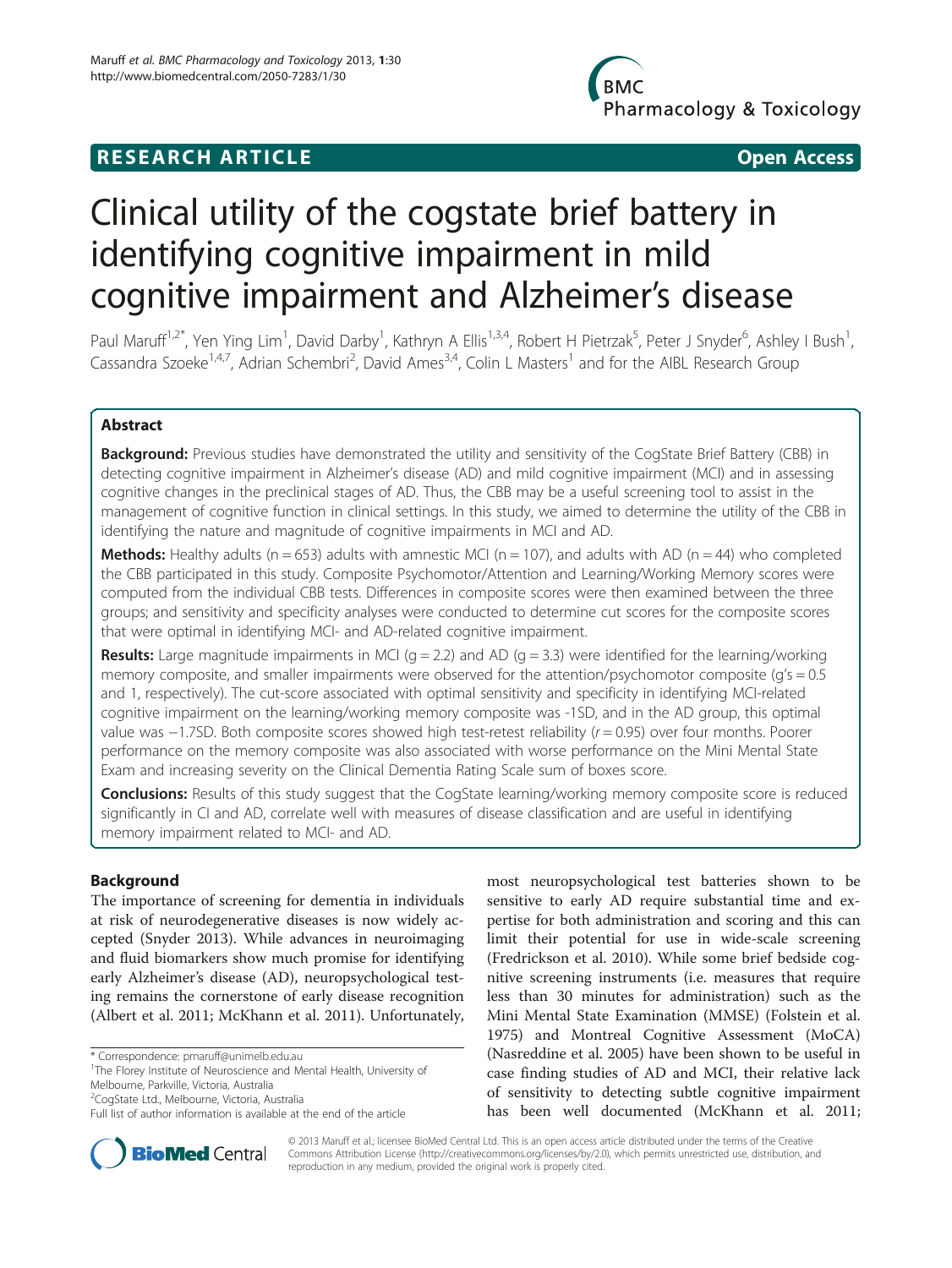# **RESEARCH ARTICLE Example 2014 12:30 The SEAR CH ACCESS**

**BMC** Pharmacology & Toxicology

# Clinical utility of the cogstate brief battery in identifying cognitive impairment in mild cognitive impairment and Alzheimer's disease

Paul Maruff<sup>1,2\*</sup>, Yen Ying Lim<sup>1</sup>, David Darby<sup>1</sup>, Kathryn A Ellis<sup>1,3,4</sup>, Robert H Pietrzak<sup>5</sup>, Peter J Snyder<sup>6</sup>, Ashley I Bush<sup>1</sup> , Cassandra Szoeke<sup>1,4,7</sup>, Adrian Schembri<sup>2</sup>, David Ames<sup>3,4</sup>, Colin L Masters<sup>1</sup> and for the AIBL Research Group

# Abstract

Background: Previous studies have demonstrated the utility and sensitivity of the CogState Brief Battery (CBB) in detecting cognitive impairment in Alzheimer's disease (AD) and mild cognitive impairment (MCI) and in assessing cognitive changes in the preclinical stages of AD. Thus, the CBB may be a useful screening tool to assist in the management of cognitive function in clinical settings. In this study, we aimed to determine the utility of the CBB in identifying the nature and magnitude of cognitive impairments in MCI and AD.

**Methods:** Healthy adults ( $n = 653$ ) adults with amnestic MCI ( $n = 107$ ), and adults with AD ( $n = 44$ ) who completed the CBB participated in this study. Composite Psychomotor/Attention and Learning/Working Memory scores were computed from the individual CBB tests. Differences in composite scores were then examined between the three groups; and sensitivity and specificity analyses were conducted to determine cut scores for the composite scores that were optimal in identifying MCI- and AD-related cognitive impairment.

**Results:** Large magnitude impairments in MCI ( $g = 2.2$ ) and AD ( $g = 3.3$ ) were identified for the learning/working memory composite, and smaller impairments were observed for the attention/psychomotor composite ( $g$ 's = 0.5 and 1, respectively). The cut-score associated with optimal sensitivity and specificity in identifying MCI-related cognitive impairment on the learning/working memory composite was -1SD, and in the AD group, this optimal value was −1.7SD. Both composite scores showed high test-retest reliability (r = 0.95) over four months. Poorer performance on the memory composite was also associated with worse performance on the Mini Mental State Exam and increasing severity on the Clinical Dementia Rating Scale sum of boxes score.

**Conclusions:** Results of this study suggest that the CogState learning/working memory composite score is reduced significantly in CI and AD, correlate well with measures of disease classification and are useful in identifying memory impairment related to MCI- and AD.

# Background

The importance of screening for dementia in individuals at risk of neurodegenerative diseases is now widely accepted (Snyder [2013\)](#page-10-0). While advances in neuroimaging and fluid biomarkers show much promise for identifying early Alzheimer's disease (AD), neuropsychological testing remains the cornerstone of early disease recognition (Albert et al. [2011](#page-9-0); McKhann et al. [2011\)](#page-10-0). Unfortunately,

\* Correspondence: [pmaruff@unimelb.edu.au](mailto:pmaruff@unimelb.edu.au) <sup>1</sup>

<sup>2</sup>CogState Ltd., Melbourne, Victoria, Australia

most neuropsychological test batteries shown to be sensitive to early AD require substantial time and expertise for both administration and scoring and this can limit their potential for use in wide-scale screening (Fredrickson et al. [2010\)](#page-9-0). While some brief bedside cognitive screening instruments (i.e. measures that require less than 30 minutes for administration) such as the Mini Mental State Examination (MMSE) (Folstein et al. [1975](#page-9-0)) and Montreal Cognitive Assessment (MoCA) (Nasreddine et al. [2005\)](#page-10-0) have been shown to be useful in case finding studies of AD and MCI, their relative lack of sensitivity to detecting subtle cognitive impairment has been well documented (McKhann et al. [2011](#page-10-0);



© 2013 Maruff et al.; licensee BioMed Central Ltd. This is an open access article distributed under the terms of the Creative Commons Attribution License [\(http://creativecommons.org/licenses/by/2.0\)](http://creativecommons.org/licenses/by/2.0), which permits unrestricted use, distribution, and reproduction in any medium, provided the original work is properly cited.

<sup>&</sup>lt;sup>1</sup>The Florey Institute of Neuroscience and Mental Health, University of Melbourne, Parkville, Victoria, Australia

Full list of author information is available at the end of the article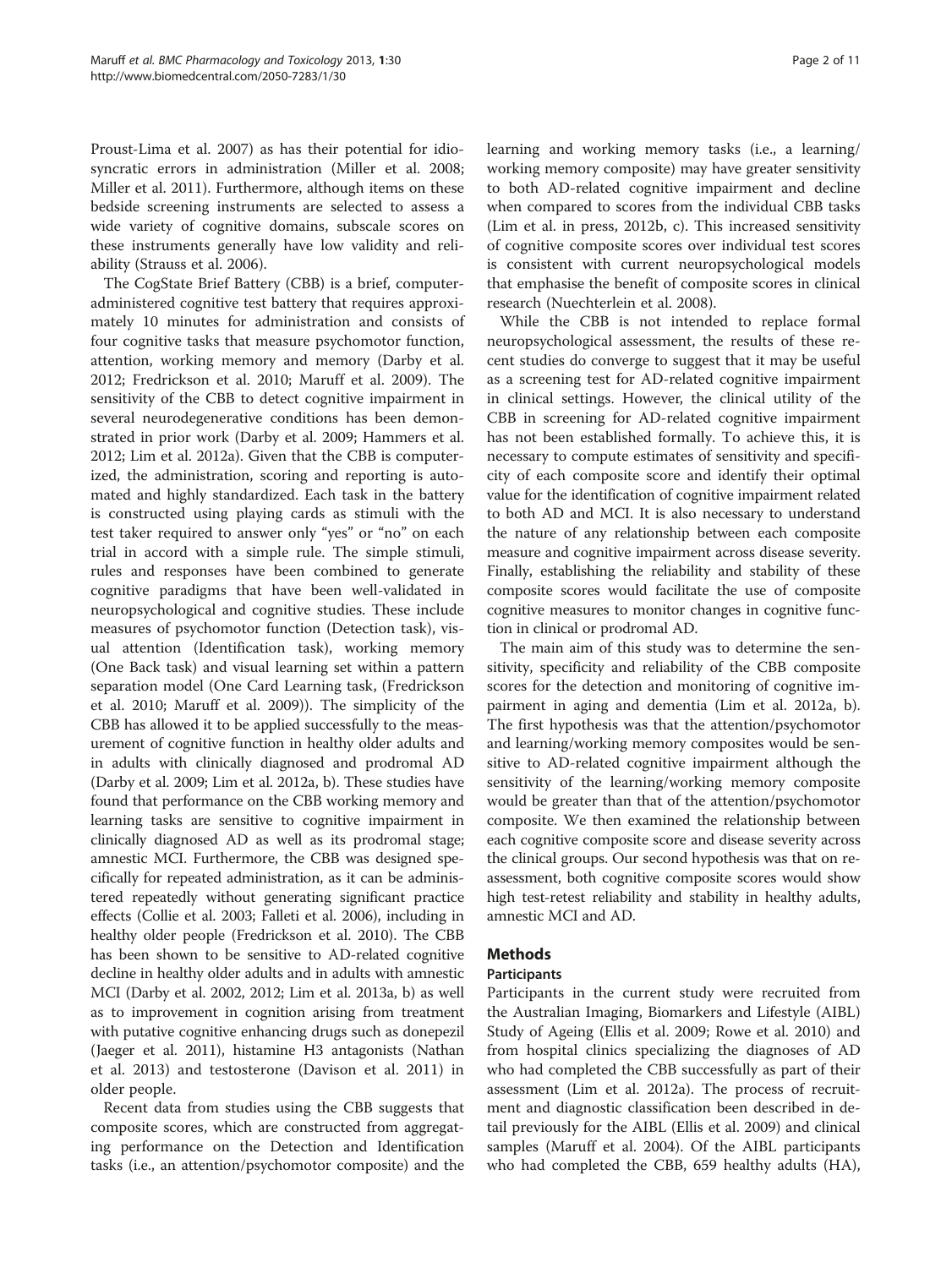Proust-Lima et al. [2007\)](#page-10-0) as has their potential for idiosyncratic errors in administration (Miller et al. [2008](#page-10-0); Miller et al. [2011\)](#page-10-0). Furthermore, although items on these bedside screening instruments are selected to assess a wide variety of cognitive domains, subscale scores on these instruments generally have low validity and reliability (Strauss et al. [2006\)](#page-10-0).

The CogState Brief Battery (CBB) is a brief, computeradministered cognitive test battery that requires approximately 10 minutes for administration and consists of four cognitive tasks that measure psychomotor function, attention, working memory and memory (Darby et al. [2012](#page-9-0); Fredrickson et al. [2010;](#page-9-0) Maruff et al. [2009\)](#page-10-0). The sensitivity of the CBB to detect cognitive impairment in several neurodegenerative conditions has been demonstrated in prior work (Darby et al. [2009](#page-9-0); Hammers et al. [2012](#page-9-0); Lim et al. [2012a](#page-9-0)). Given that the CBB is computerized, the administration, scoring and reporting is automated and highly standardized. Each task in the battery is constructed using playing cards as stimuli with the test taker required to answer only "yes" or "no" on each trial in accord with a simple rule. The simple stimuli, rules and responses have been combined to generate cognitive paradigms that have been well-validated in neuropsychological and cognitive studies. These include measures of psychomotor function (Detection task), visual attention (Identification task), working memory (One Back task) and visual learning set within a pattern separation model (One Card Learning task, (Fredrickson et al. [2010](#page-9-0); Maruff et al. [2009](#page-10-0))). The simplicity of the CBB has allowed it to be applied successfully to the measurement of cognitive function in healthy older adults and in adults with clinically diagnosed and prodromal AD (Darby et al. [2009](#page-9-0); Lim et al. [2012a](#page-9-0), [b](#page-9-0)). These studies have found that performance on the CBB working memory and learning tasks are sensitive to cognitive impairment in clinically diagnosed AD as well as its prodromal stage; amnestic MCI. Furthermore, the CBB was designed specifically for repeated administration, as it can be administered repeatedly without generating significant practice effects (Collie et al. [2003;](#page-9-0) Falleti et al. [2006](#page-9-0)), including in healthy older people (Fredrickson et al. [2010](#page-9-0)). The CBB has been shown to be sensitive to AD-related cognitive decline in healthy older adults and in adults with amnestic MCI (Darby et al. [2002](#page-9-0), [2012; Lim et al. 2013a](#page-9-0), [b\)](#page-9-0) as well as to improvement in cognition arising from treatment with putative cognitive enhancing drugs such as donepezil (Jaeger et al. [2011](#page-9-0)), histamine H3 antagonists (Nathan et al. [2013](#page-10-0)) and testosterone (Davison et al. [2011\)](#page-9-0) in older people.

Recent data from studies using the CBB suggests that composite scores, which are constructed from aggregating performance on the Detection and Identification tasks (i.e., an attention/psychomotor composite) and the learning and working memory tasks (i.e., a learning/ working memory composite) may have greater sensitivity to both AD-related cognitive impairment and decline when compared to scores from the individual CBB tasks ([Lim et al. in press](#page-9-0), [2012b](#page-9-0), [c\)](#page-9-0). This increased sensitivity of cognitive composite scores over individual test scores is consistent with current neuropsychological models that emphasise the benefit of composite scores in clinical research (Nuechterlein et al. [2008](#page-10-0)).

While the CBB is not intended to replace formal neuropsychological assessment, the results of these recent studies do converge to suggest that it may be useful as a screening test for AD-related cognitive impairment in clinical settings. However, the clinical utility of the CBB in screening for AD-related cognitive impairment has not been established formally. To achieve this, it is necessary to compute estimates of sensitivity and specificity of each composite score and identify their optimal value for the identification of cognitive impairment related to both AD and MCI. It is also necessary to understand the nature of any relationship between each composite measure and cognitive impairment across disease severity. Finally, establishing the reliability and stability of these composite scores would facilitate the use of composite cognitive measures to monitor changes in cognitive function in clinical or prodromal AD.

The main aim of this study was to determine the sensitivity, specificity and reliability of the CBB composite scores for the detection and monitoring of cognitive impairment in aging and dementia (Lim et al. [2012a](#page-9-0), [b](#page-9-0)). The first hypothesis was that the attention/psychomotor and learning/working memory composites would be sensitive to AD-related cognitive impairment although the sensitivity of the learning/working memory composite would be greater than that of the attention/psychomotor composite. We then examined the relationship between each cognitive composite score and disease severity across the clinical groups. Our second hypothesis was that on reassessment, both cognitive composite scores would show high test-retest reliability and stability in healthy adults, amnestic MCI and AD.

# Methods

# Participants

Participants in the current study were recruited from the Australian Imaging, Biomarkers and Lifestyle (AIBL) Study of Ageing (Ellis et al. [2009](#page-9-0); Rowe et al. [2010\)](#page-10-0) and from hospital clinics specializing the diagnoses of AD who had completed the CBB successfully as part of their assessment (Lim et al. [2012a](#page-9-0)). The process of recruitment and diagnostic classification been described in detail previously for the AIBL (Ellis et al. [2009\)](#page-9-0) and clinical samples (Maruff et al. [2004](#page-9-0)). Of the AIBL participants who had completed the CBB, 659 healthy adults (HA),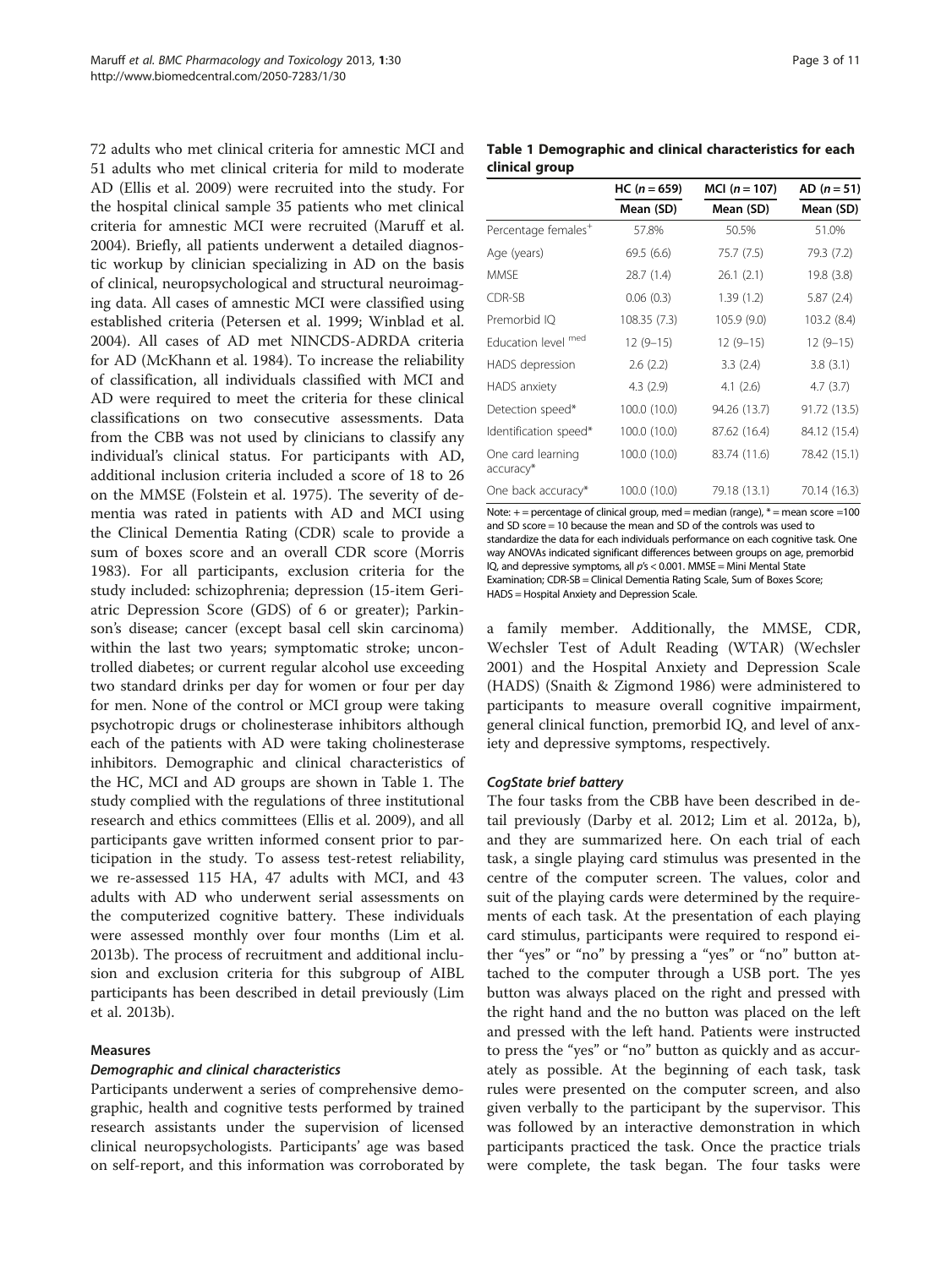<span id="page-2-0"></span>72 adults who met clinical criteria for amnestic MCI and 51 adults who met clinical criteria for mild to moderate AD (Ellis et al. [2009\)](#page-9-0) were recruited into the study. For the hospital clinical sample 35 patients who met clinical criteria for amnestic MCI were recruited (Maruff et al. [2004](#page-9-0)). Briefly, all patients underwent a detailed diagnostic workup by clinician specializing in AD on the basis of clinical, neuropsychological and structural neuroimaging data. All cases of amnestic MCI were classified using established criteria (Petersen et al. [1999;](#page-10-0) Winblad et al. [2004](#page-10-0)). All cases of AD met NINCDS-ADRDA criteria for AD (McKhann et al. [1984\)](#page-10-0). To increase the reliability of classification, all individuals classified with MCI and AD were required to meet the criteria for these clinical classifications on two consecutive assessments. Data from the CBB was not used by clinicians to classify any individual's clinical status. For participants with AD, additional inclusion criteria included a score of 18 to 26 on the MMSE (Folstein et al. [1975](#page-9-0)). The severity of dementia was rated in patients with AD and MCI using the Clinical Dementia Rating (CDR) scale to provide a sum of boxes score and an overall CDR score (Morris [1983](#page-10-0)). For all participants, exclusion criteria for the study included: schizophrenia; depression (15-item Geriatric Depression Score (GDS) of 6 or greater); Parkinson's disease; cancer (except basal cell skin carcinoma) within the last two years; symptomatic stroke; uncontrolled diabetes; or current regular alcohol use exceeding two standard drinks per day for women or four per day for men. None of the control or MCI group were taking psychotropic drugs or cholinesterase inhibitors although each of the patients with AD were taking cholinesterase inhibitors. Demographic and clinical characteristics of the HC, MCI and AD groups are shown in Table 1. The study complied with the regulations of three institutional research and ethics committees (Ellis et al. [2009\)](#page-9-0), and all participants gave written informed consent prior to participation in the study. To assess test-retest reliability, we re-assessed 115 HA, 47 adults with MCI, and 43 adults with AD who underwent serial assessments on the computerized cognitive battery. These individuals were assessed monthly over four months [\(Lim et al.](#page-9-0) [2013b](#page-9-0)). The process of recruitment and additional inclusion and exclusion criteria for this subgroup of AIBL participants has been described in detail previously [\(Lim](#page-9-0) [et al. 2013b\)](#page-9-0).

#### Measures

#### Demographic and clinical characteristics

Participants underwent a series of comprehensive demographic, health and cognitive tests performed by trained research assistants under the supervision of licensed clinical neuropsychologists. Participants' age was based on self-report, and this information was corroborated by

| Table 1 Demographic and clinical characteristics for each |  |  |
|-----------------------------------------------------------|--|--|
| clinical group                                            |  |  |

|                                 | $HC (n = 659)$ | MCI $(n = 107)$ | $AD (n = 51)$ |
|---------------------------------|----------------|-----------------|---------------|
|                                 | Mean (SD)      | Mean (SD)       | Mean (SD)     |
| Percentage females <sup>+</sup> | 57.8%          | 50.5%           | 51.0%         |
| Age (years)                     | 69.5(6.6)      | 75.7 (7.5)      | 79.3 (7.2)    |
| MMSF                            | 28.7 (1.4)     | 26.1(2.1)       | 19.8 (3.8)    |
| CDR-SB                          | 0.06(0.3)      | 1.39(1.2)       | 5.87(2.4)     |
| Premorbid IQ                    | 108.35 (7.3)   | 105.9 (9.0)     | 103.2 (8.4)   |
| Education level med             | $12(9-15)$     | $12(9-15)$      | $12(9-15)$    |
| HADS depression                 | 2.6(2.2)       | 3.3(2.4)        | 3.8(3.1)      |
| HADS anxiety                    | 4.3(2.9)       | 4.1(2.6)        | 4.7(3.7)      |
| Detection speed*                | 100.0 (10.0)   | 94.26 (13.7)    | 91.72 (13.5)  |
| Identification speed*           | 100.0 (10.0)   | 87.62 (16.4)    | 84.12 (15.4)  |
| One card learning<br>accuracy*  | 100.0 (10.0)   | 83.74 (11.6)    | 78.42 (15.1)  |
| One back accuracy*              | 100.0 (10.0)   | 79.18 (13.1)    | 70.14 (16.3)  |

Note:  $+=$  percentage of clinical group, med = median (range),  $*$  = mean score =100 and SD score = 10 because the mean and SD of the controls was used to standardize the data for each individuals performance on each cognitive task. One way ANOVAs indicated significant differences between groups on age, premorbid IQ, and depressive symptoms, all p's < 0.001. MMSE = Mini Mental State Examination; CDR-SB = Clinical Dementia Rating Scale, Sum of Boxes Score; HADS = Hospital Anxiety and Depression Scale.

a family member. Additionally, the MMSE, CDR, Wechsler Test of Adult Reading (WTAR) (Wechsler [2001](#page-10-0)) and the Hospital Anxiety and Depression Scale (HADS) (Snaith & Zigmond [1986\)](#page-10-0) were administered to participants to measure overall cognitive impairment, general clinical function, premorbid IQ, and level of anxiety and depressive symptoms, respectively.

#### CogState brief battery

The four tasks from the CBB have been described in detail previously (Darby et al. [2012;](#page-9-0) Lim et al. [2012a](#page-9-0), [b](#page-9-0)), and they are summarized here. On each trial of each task, a single playing card stimulus was presented in the centre of the computer screen. The values, color and suit of the playing cards were determined by the requirements of each task. At the presentation of each playing card stimulus, participants were required to respond either "yes" or "no" by pressing a "yes" or "no" button attached to the computer through a USB port. The yes button was always placed on the right and pressed with the right hand and the no button was placed on the left and pressed with the left hand. Patients were instructed to press the "yes" or "no" button as quickly and as accurately as possible. At the beginning of each task, task rules were presented on the computer screen, and also given verbally to the participant by the supervisor. This was followed by an interactive demonstration in which participants practiced the task. Once the practice trials were complete, the task began. The four tasks were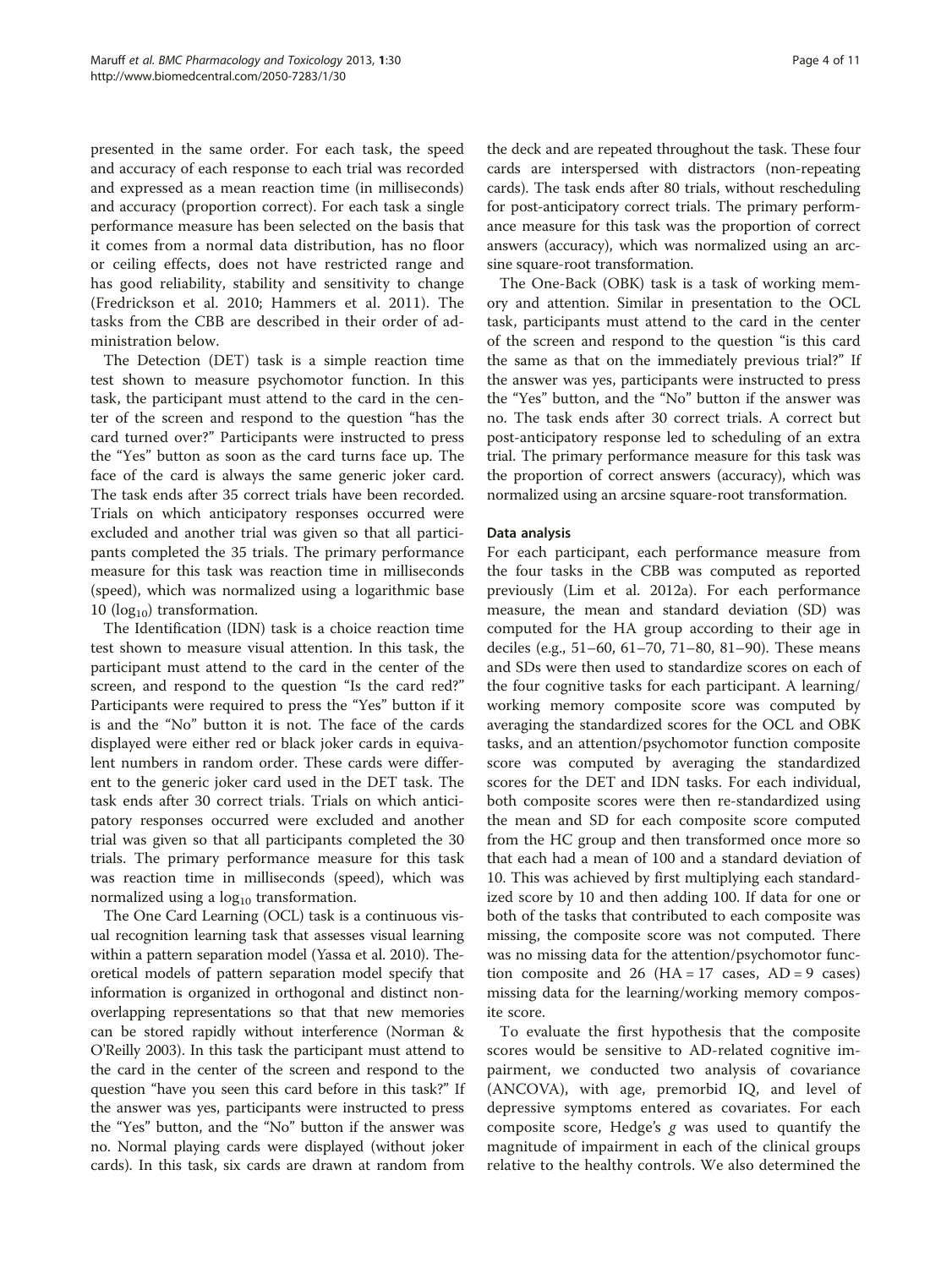presented in the same order. For each task, the speed and accuracy of each response to each trial was recorded and expressed as a mean reaction time (in milliseconds) and accuracy (proportion correct). For each task a single performance measure has been selected on the basis that it comes from a normal data distribution, has no floor or ceiling effects, does not have restricted range and has good reliability, stability and sensitivity to change (Fredrickson et al. [2010](#page-9-0); Hammers et al. [2011](#page-9-0)). The tasks from the CBB are described in their order of administration below.

The Detection (DET) task is a simple reaction time test shown to measure psychomotor function. In this task, the participant must attend to the card in the center of the screen and respond to the question "has the card turned over?" Participants were instructed to press the "Yes" button as soon as the card turns face up. The face of the card is always the same generic joker card. The task ends after 35 correct trials have been recorded. Trials on which anticipatory responses occurred were excluded and another trial was given so that all participants completed the 35 trials. The primary performance measure for this task was reaction time in milliseconds (speed), which was normalized using a logarithmic base 10 ( $log_{10}$ ) transformation.

The Identification (IDN) task is a choice reaction time test shown to measure visual attention. In this task, the participant must attend to the card in the center of the screen, and respond to the question "Is the card red?" Participants were required to press the "Yes" button if it is and the "No" button it is not. The face of the cards displayed were either red or black joker cards in equivalent numbers in random order. These cards were different to the generic joker card used in the DET task. The task ends after 30 correct trials. Trials on which anticipatory responses occurred were excluded and another trial was given so that all participants completed the 30 trials. The primary performance measure for this task was reaction time in milliseconds (speed), which was normalized using a  $log_{10}$  transformation.

The One Card Learning (OCL) task is a continuous visual recognition learning task that assesses visual learning within a pattern separation model (Yassa et al. [2010](#page-10-0)). Theoretical models of pattern separation model specify that information is organized in orthogonal and distinct nonoverlapping representations so that that new memories can be stored rapidly without interference (Norman & O'Reilly [2003](#page-10-0)). In this task the participant must attend to the card in the center of the screen and respond to the question "have you seen this card before in this task?" If the answer was yes, participants were instructed to press the "Yes" button, and the "No" button if the answer was no. Normal playing cards were displayed (without joker cards). In this task, six cards are drawn at random from

the deck and are repeated throughout the task. These four cards are interspersed with distractors (non-repeating cards). The task ends after 80 trials, without rescheduling for post-anticipatory correct trials. The primary performance measure for this task was the proportion of correct answers (accuracy), which was normalized using an arcsine square-root transformation.

The One-Back (OBK) task is a task of working memory and attention. Similar in presentation to the OCL task, participants must attend to the card in the center of the screen and respond to the question "is this card the same as that on the immediately previous trial?" If the answer was yes, participants were instructed to press the "Yes" button, and the "No" button if the answer was no. The task ends after 30 correct trials. A correct but post-anticipatory response led to scheduling of an extra trial. The primary performance measure for this task was the proportion of correct answers (accuracy), which was normalized using an arcsine square-root transformation.

# Data analysis

For each participant, each performance measure from the four tasks in the CBB was computed as reported previously (Lim et al. [2012a\)](#page-9-0). For each performance measure, the mean and standard deviation (SD) was computed for the HA group according to their age in deciles (e.g., 51–60, 61–70, 71–80, 81–90). These means and SDs were then used to standardize scores on each of the four cognitive tasks for each participant. A learning/ working memory composite score was computed by averaging the standardized scores for the OCL and OBK tasks, and an attention/psychomotor function composite score was computed by averaging the standardized scores for the DET and IDN tasks. For each individual, both composite scores were then re-standardized using the mean and SD for each composite score computed from the HC group and then transformed once more so that each had a mean of 100 and a standard deviation of 10. This was achieved by first multiplying each standardized score by 10 and then adding 100. If data for one or both of the tasks that contributed to each composite was missing, the composite score was not computed. There was no missing data for the attention/psychomotor function composite and 26 ( $HA = 17$  cases,  $AD = 9$  cases) missing data for the learning/working memory composite score.

To evaluate the first hypothesis that the composite scores would be sensitive to AD-related cognitive impairment, we conducted two analysis of covariance (ANCOVA), with age, premorbid IQ, and level of depressive symptoms entered as covariates. For each composite score, Hedge'<sup>s</sup> g was used to quantify the magnitude of impairment in each of the clinical groups relative to the healthy controls. We also determined the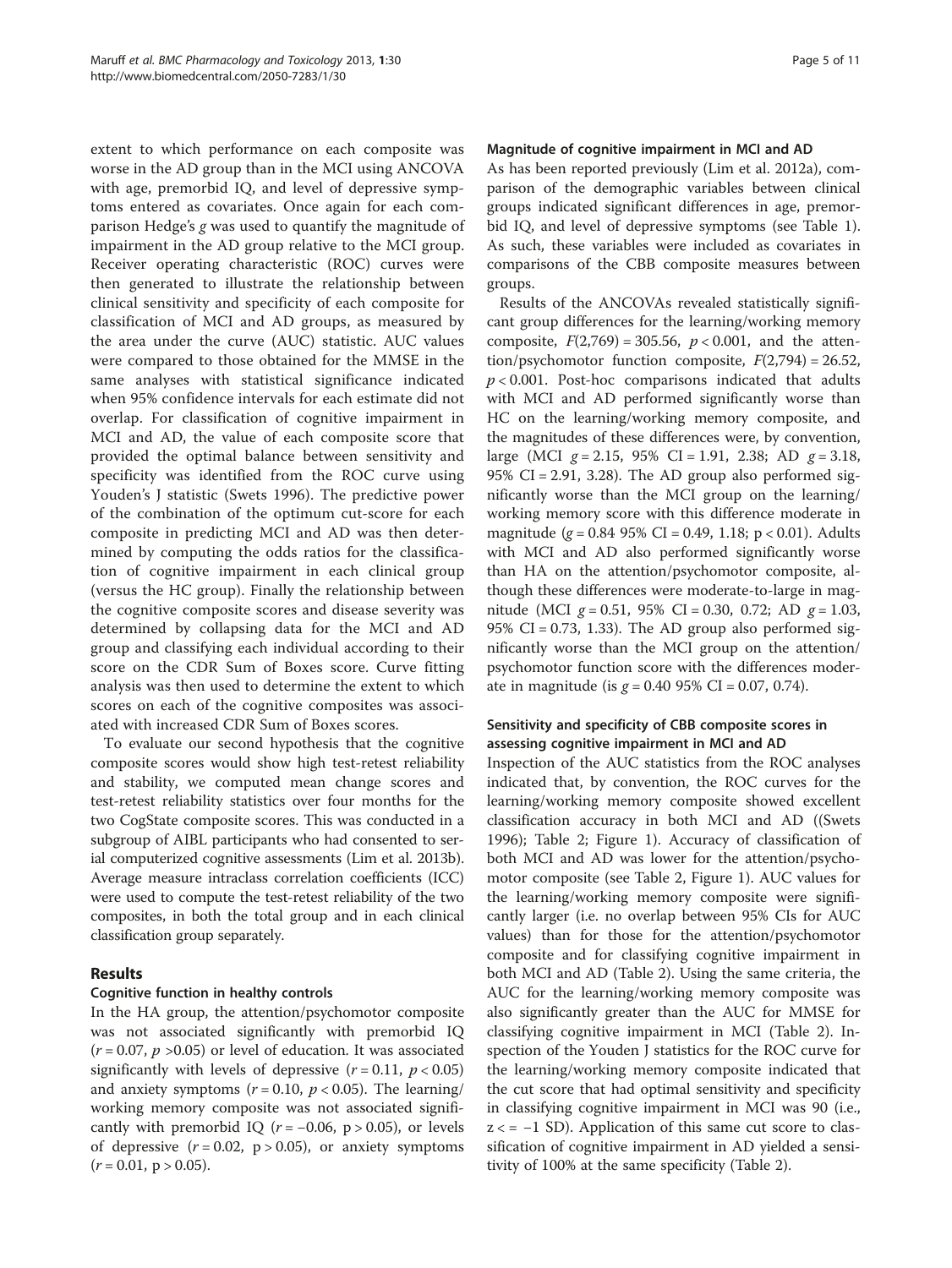extent to which performance on each composite was worse in the AD group than in the MCI using ANCOVA with age, premorbid IQ, and level of depressive symptoms entered as covariates. Once again for each comparison Hedge'<sup>s</sup> g was used to quantify the magnitude of impairment in the AD group relative to the MCI group. Receiver operating characteristic (ROC) curves were then generated to illustrate the relationship between clinical sensitivity and specificity of each composite for classification of MCI and AD groups, as measured by the area under the curve (AUC) statistic. AUC values were compared to those obtained for the MMSE in the same analyses with statistical significance indicated when 95% confidence intervals for each estimate did not overlap. For classification of cognitive impairment in MCI and AD, the value of each composite score that provided the optimal balance between sensitivity and specificity was identified from the ROC curve using Youden's J statistic (Swets [1996\)](#page-10-0). The predictive power of the combination of the optimum cut-score for each composite in predicting MCI and AD was then determined by computing the odds ratios for the classification of cognitive impairment in each clinical group (versus the HC group). Finally the relationship between the cognitive composite scores and disease severity was determined by collapsing data for the MCI and AD group and classifying each individual according to their score on the CDR Sum of Boxes score. Curve fitting analysis was then used to determine the extent to which scores on each of the cognitive composites was associated with increased CDR Sum of Boxes scores.

To evaluate our second hypothesis that the cognitive composite scores would show high test-retest reliability and stability, we computed mean change scores and test-retest reliability statistics over four months for the two CogState composite scores. This was conducted in a subgroup of AIBL participants who had consented to serial computerized cognitive assessments ([Lim et al. 2013b](#page-9-0)). Average measure intraclass correlation coefficients (ICC) were used to compute the test-retest reliability of the two composites, in both the total group and in each clinical classification group separately.

# Results

# Cognitive function in healthy controls

In the HA group, the attention/psychomotor composite was not associated significantly with premorbid IQ  $(r = 0.07, p > 0.05)$  or level of education. It was associated significantly with levels of depressive  $(r = 0.11, p < 0.05)$ and anxiety symptoms ( $r = 0.10$ ,  $p < 0.05$ ). The learning/ working memory composite was not associated significantly with premorbid IQ ( $r = -0.06$ , p > 0.05), or levels of depressive  $(r = 0.02, p > 0.05)$ , or anxiety symptoms  $(r = 0.01, p > 0.05).$ 

#### Magnitude of cognitive impairment in MCI and AD

As has been reported previously (Lim et al. [2012a\)](#page-9-0), comparison of the demographic variables between clinical groups indicated significant differences in age, premorbid IQ, and level of depressive symptoms (see Table [1](#page-2-0)). As such, these variables were included as covariates in comparisons of the CBB composite measures between groups.

Results of the ANCOVAs revealed statistically significant group differences for the learning/working memory composite,  $F(2,769) = 305.56$ ,  $p < 0.001$ , and the attention/psychomotor function composite,  $F(2,794) = 26.52$ ,  $p < 0.001$ . Post-hoc comparisons indicated that adults with MCI and AD performed significantly worse than HC on the learning/working memory composite, and the magnitudes of these differences were, by convention, large (MCI  $g = 2.15$ , 95% CI = 1.91, 2.38; AD  $g = 3.18$ , 95% CI = 2.91, 3.28). The AD group also performed significantly worse than the MCI group on the learning/ working memory score with this difference moderate in magnitude ( $g = 0.84$  95% CI = 0.49, 1.18; p < 0.01). Adults with MCI and AD also performed significantly worse than HA on the attention/psychomotor composite, although these differences were moderate-to-large in magnitude (MCI  $g = 0.51$ , 95% CI = 0.30, 0.72; AD  $g = 1.03$ , 95% CI = 0.73, 1.33). The AD group also performed significantly worse than the MCI group on the attention/ psychomotor function score with the differences moderate in magnitude (is  $g = 0.40$  95% CI = 0.07, 0.74).

# Sensitivity and specificity of CBB composite scores in assessing cognitive impairment in MCI and AD

Inspection of the AUC statistics from the ROC analyses indicated that, by convention, the ROC curves for the learning/working memory composite showed excellent classification accuracy in both MCI and AD ((Swets [1996](#page-10-0)); Table [2](#page-5-0); Figure [1](#page-5-0)). Accuracy of classification of both MCI and AD was lower for the attention/psychomotor composite (see Table [2](#page-5-0), Figure [1\)](#page-5-0). AUC values for the learning/working memory composite were significantly larger (i.e. no overlap between 95% CIs for AUC values) than for those for the attention/psychomotor composite and for classifying cognitive impairment in both MCI and AD (Table [2\)](#page-5-0). Using the same criteria, the AUC for the learning/working memory composite was also significantly greater than the AUC for MMSE for classifying cognitive impairment in MCI (Table [2](#page-5-0)). Inspection of the Youden J statistics for the ROC curve for the learning/working memory composite indicated that the cut score that had optimal sensitivity and specificity in classifying cognitive impairment in MCI was 90 (i.e.,  $z \leq -1$  SD). Application of this same cut score to classification of cognitive impairment in AD yielded a sensitivity of 100% at the same specificity (Table [2](#page-5-0)).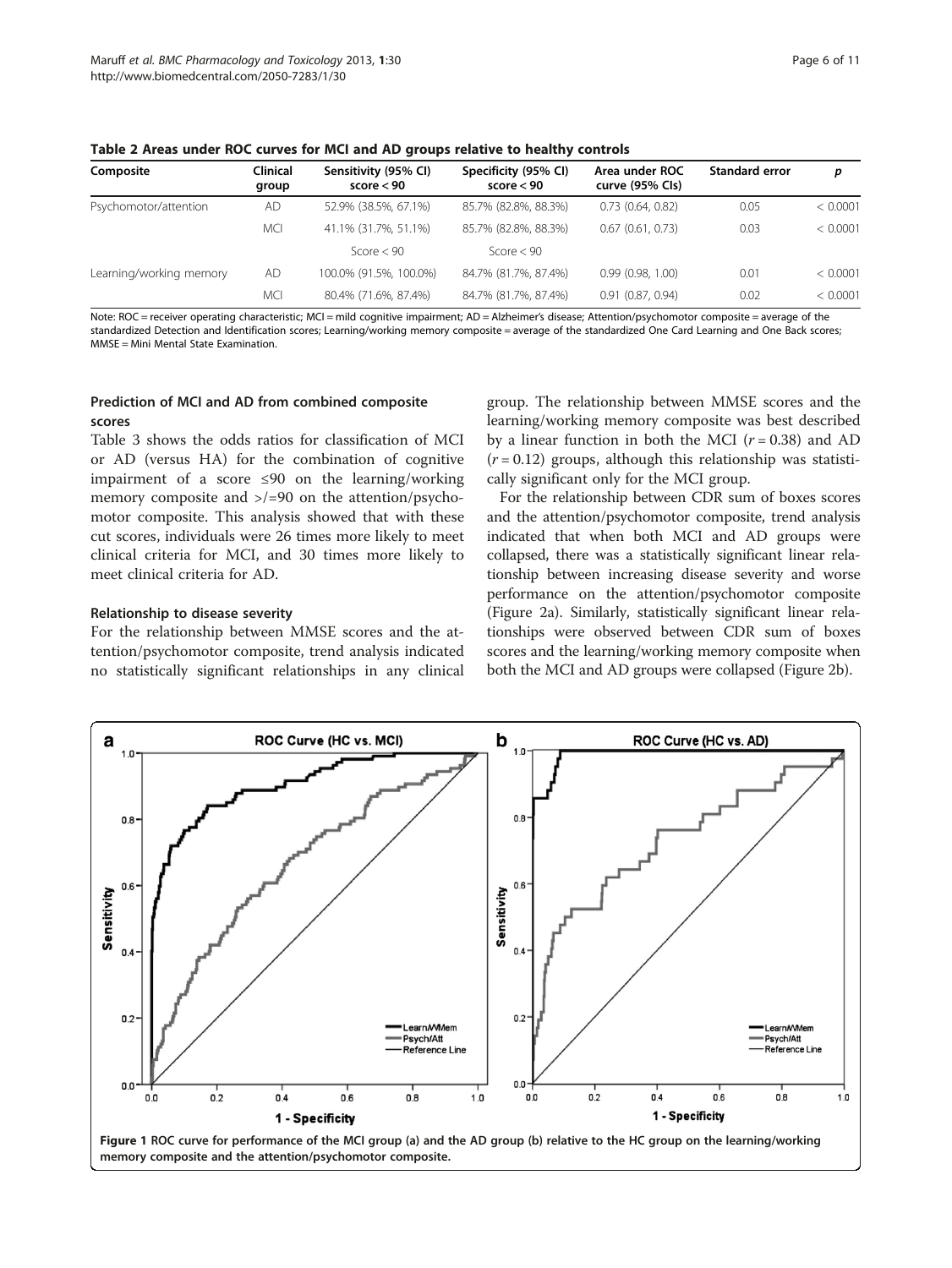| Composite               | <b>Clinical</b><br>group | Sensitivity (95% CI)<br>score < 90 | Specificity (95% CI)<br>score $< 90$ | Area under ROC<br>curve (95% Cls) | <b>Standard error</b> | p        |
|-------------------------|--------------------------|------------------------------------|--------------------------------------|-----------------------------------|-----------------------|----------|
| Psychomotor/attention   | <b>AD</b>                | 52.9% (38.5%, 67.1%)               | 85.7% (82.8%, 88.3%)                 | 0.73(0.64, 0.82)                  | 0.05                  | < 0.0001 |
|                         | <b>MCI</b>               | 41.1% (31.7%, 51.1%)               | 85.7% (82.8%, 88.3%)                 | 0.67(0.61, 0.73)                  | 0.03                  | < 0.0001 |
|                         |                          | Score $< 90$                       | Score $< 90$                         |                                   |                       |          |
| Learning/working memory | <b>AD</b>                | 100.0% (91.5%, 100.0%)             | 84.7% (81.7%, 87.4%)                 | 0.99(0.98, 1.00)                  | 0.01                  | < 0.0001 |
|                         | <b>MCI</b>               | 80.4% (71.6%, 87.4%)               | 84.7% (81.7%, 87.4%)                 | 0.91(0.87, 0.94)                  | 0.02                  | < 0.0001 |

<span id="page-5-0"></span>Table 2 Areas under ROC curves for MCI and AD groups relative to healthy controls

Note: ROC = receiver operating characteristic; MCI = mild cognitive impairment; AD = Alzheimer's disease; Attention/psychomotor composite = average of the standardized Detection and Identification scores; Learning/working memory composite = average of the standardized One Card Learning and One Back scores; MMSE = Mini Mental State Examination.

#### Prediction of MCI and AD from combined composite scores

Table [3](#page-6-0) shows the odds ratios for classification of MCI or AD (versus HA) for the combination of cognitive impairment of a score ≤90 on the learning/working memory composite and >/=90 on the attention/psychomotor composite. This analysis showed that with these cut scores, individuals were 26 times more likely to meet clinical criteria for MCI, and 30 times more likely to meet clinical criteria for AD.

#### Relationship to disease severity

For the relationship between MMSE scores and the attention/psychomotor composite, trend analysis indicated no statistically significant relationships in any clinical

group. The relationship between MMSE scores and the learning/working memory composite was best described by a linear function in both the MCI ( $r = 0.38$ ) and AD  $(r = 0.12)$  groups, although this relationship was statistically significant only for the MCI group.

For the relationship between CDR sum of boxes scores and the attention/psychomotor composite, trend analysis indicated that when both MCI and AD groups were collapsed, there was a statistically significant linear relationship between increasing disease severity and worse performance on the attention/psychomotor composite (Figure [2a](#page-6-0)). Similarly, statistically significant linear relationships were observed between CDR sum of boxes scores and the learning/working memory composite when both the MCI and AD groups were collapsed (Figure [2](#page-6-0)b).

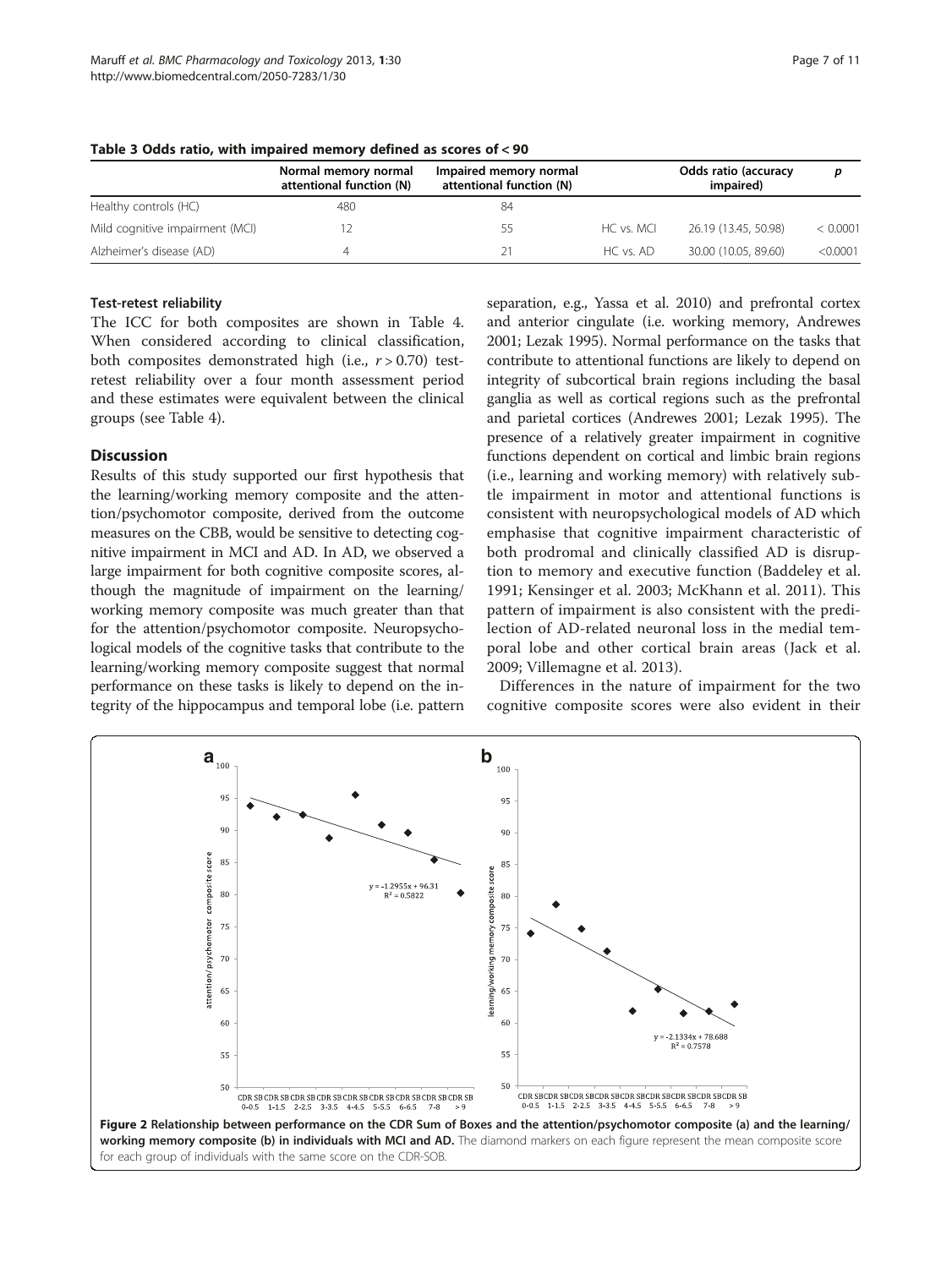|                                 | Normal memory normal<br>attentional function (N) | Impaired memory normal<br>attentional function (N) |               | <b>Odds ratio (accuracy</b><br>impaired) |          |
|---------------------------------|--------------------------------------------------|----------------------------------------------------|---------------|------------------------------------------|----------|
| Healthy controls (HC)           | 480                                              | 84                                                 |               |                                          |          |
| Mild cognitive impairment (MCI) |                                                  | 55                                                 | HC vs. MCI    | 26.19 (13.45, 50.98)                     | < 0.0001 |
| Alzheimer's disease (AD)        |                                                  | 21                                                 | $HC$ vs. $AD$ | 30.00 (10.05, 89.60)                     | < 0.0001 |

<span id="page-6-0"></span>Table 3 Odds ratio, with impaired memory defined as scores of < 90

#### Test-retest reliability

The ICC for both composites are shown in Table [4](#page-7-0). When considered according to clinical classification, both composites demonstrated high (i.e.,  $r > 0.70$ ) testretest reliability over a four month assessment period and these estimates were equivalent between the clinical groups (see Table [4\)](#page-7-0).

#### **Discussion**

Results of this study supported our first hypothesis that the learning/working memory composite and the attention/psychomotor composite, derived from the outcome measures on the CBB, would be sensitive to detecting cognitive impairment in MCI and AD. In AD, we observed a large impairment for both cognitive composite scores, although the magnitude of impairment on the learning/ working memory composite was much greater than that for the attention/psychomotor composite. Neuropsychological models of the cognitive tasks that contribute to the learning/working memory composite suggest that normal performance on these tasks is likely to depend on the integrity of the hippocampus and temporal lobe (i.e. pattern

separation, e.g., Yassa et al. [2010](#page-10-0)) and prefrontal cortex and anterior cingulate (i.e. working memory, Andrewes [2001;](#page-9-0) Lezak [1995\)](#page-9-0). Normal performance on the tasks that contribute to attentional functions are likely to depend on integrity of subcortical brain regions including the basal ganglia as well as cortical regions such as the prefrontal and parietal cortices (Andrewes [2001;](#page-9-0) Lezak [1995](#page-9-0)). The presence of a relatively greater impairment in cognitive functions dependent on cortical and limbic brain regions (i.e., learning and working memory) with relatively subtle impairment in motor and attentional functions is consistent with neuropsychological models of AD which emphasise that cognitive impairment characteristic of both prodromal and clinically classified AD is disruption to memory and executive function (Baddeley et al. [1991;](#page-9-0) Kensinger et al. [2003](#page-9-0); McKhann et al. [2011\)](#page-10-0). This pattern of impairment is also consistent with the predilection of AD-related neuronal loss in the medial temporal lobe and other cortical brain areas (Jack et al. [2009;](#page-9-0) Villemagne et al. [2013](#page-10-0)).

Differences in the nature of impairment for the two cognitive composite scores were also evident in their

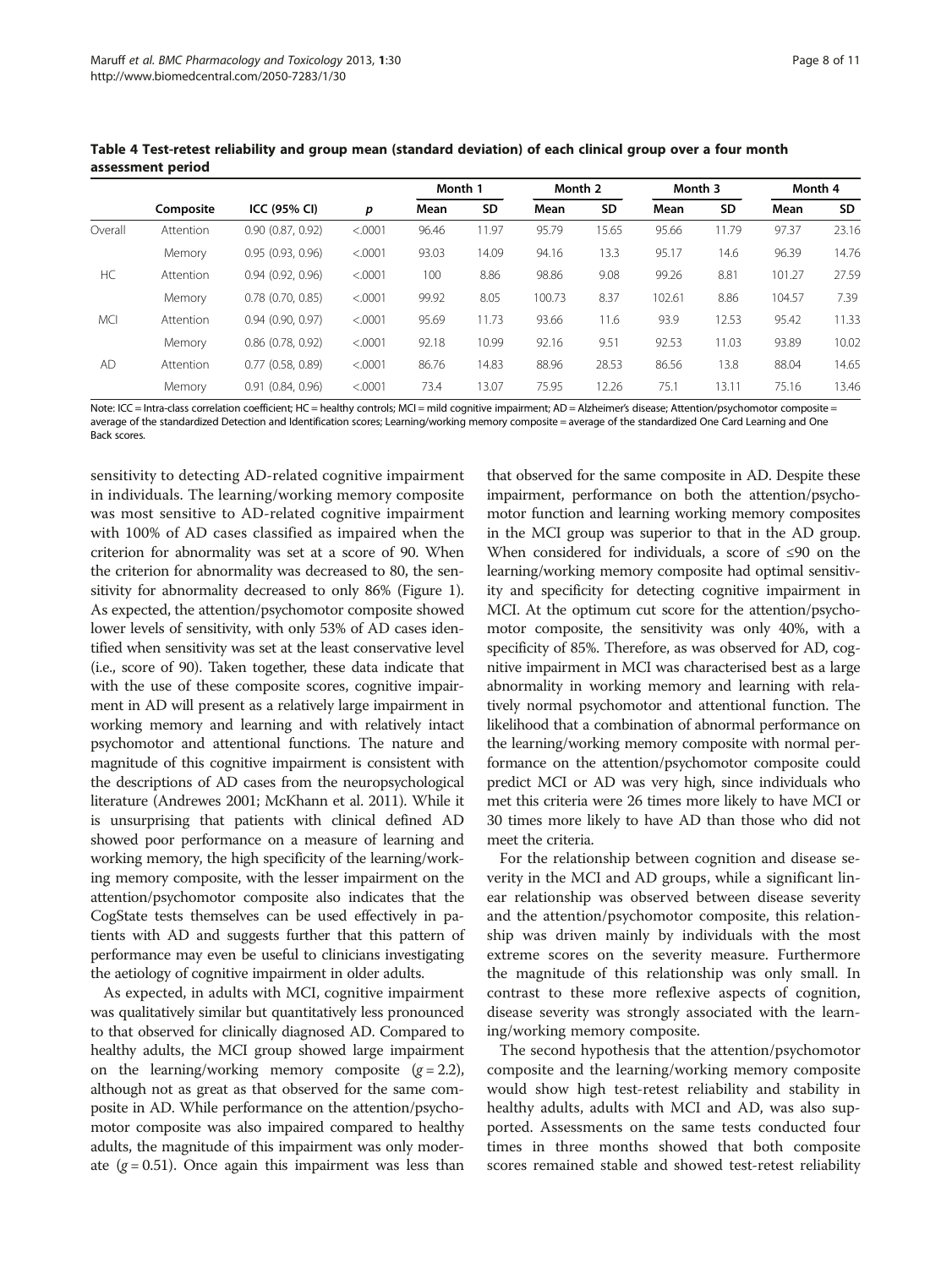|            | Composite |                       |         |       | Month 1<br>Month 2 |        |       | Month 3 |       | Month 4 |       |
|------------|-----------|-----------------------|---------|-------|--------------------|--------|-------|---------|-------|---------|-------|
|            |           | ICC (95% CI)          | p       | Mean  | SD                 | Mean   | SD    | Mean    | SD    | Mean    | SD    |
| Overall    | Attention | 0.90(0.87, 0.92)      | < 0001  | 96.46 | 11.97              | 95.79  | 15.65 | 95.66   | 11.79 | 97.37   | 23.16 |
|            | Memory    | 0.95(0.93, 0.96)      | < 0001  | 93.03 | 14.09              | 94.16  | 13.3  | 95.17   | 14.6  | 96.39   | 14.76 |
| HC         | Attention | 0.94(0.92, 0.96)      | < .0001 | 100   | 8.86               | 98.86  | 9.08  | 99.26   | 8.81  | 101.27  | 27.59 |
|            | Memory    | $0.78$ $(0.70, 0.85)$ | < .0001 | 99.92 | 8.05               | 100.73 | 8.37  | 102.61  | 8.86  | 104.57  | 7.39  |
| <b>MCI</b> | Attention | 0.94(0.90, 0.97)      | < .0001 | 95.69 | 11.73              | 93.66  | 11.6  | 93.9    | 12.53 | 95.42   | 11.33 |
|            | Memory    | $0.86$ $(0.78, 0.92)$ | < .0001 | 92.18 | 10.99              | 92.16  | 9.51  | 92.53   | 11.03 | 93.89   | 10.02 |
| AD         | Attention | $0.77$ $(0.58, 0.89)$ | < .0001 | 86.76 | 14.83              | 88.96  | 28.53 | 86.56   | 13.8  | 88.04   | 14.65 |
|            | Memory    | 0.91(0.84, 0.96)      | < 0001  | 73.4  | 13.07              | 75.95  | 12.26 | 75.1    | 13.11 | 75.16   | 13.46 |

<span id="page-7-0"></span>Table 4 Test-retest reliability and group mean (standard deviation) of each clinical group over a four month assessment period

Note: ICC = Intra-class correlation coefficient; HC = healthy controls; MCI = mild cognitive impairment; AD = Alzheimer's disease; Attention/psychomotor composite = average of the standardized Detection and Identification scores; Learning/working memory composite = average of the standardized One Card Learning and One Back scores.

sensitivity to detecting AD-related cognitive impairment in individuals. The learning/working memory composite was most sensitive to AD-related cognitive impairment with 100% of AD cases classified as impaired when the criterion for abnormality was set at a score of 90. When the criterion for abnormality was decreased to 80, the sensitivity for abnormality decreased to only 86% (Figure [1](#page-5-0)). As expected, the attention/psychomotor composite showed lower levels of sensitivity, with only 53% of AD cases identified when sensitivity was set at the least conservative level (i.e., score of 90). Taken together, these data indicate that with the use of these composite scores, cognitive impairment in AD will present as a relatively large impairment in working memory and learning and with relatively intact psychomotor and attentional functions. The nature and magnitude of this cognitive impairment is consistent with the descriptions of AD cases from the neuropsychological literature (Andrewes [2001](#page-9-0); McKhann et al. [2011\)](#page-10-0). While it is unsurprising that patients with clinical defined AD showed poor performance on a measure of learning and working memory, the high specificity of the learning/working memory composite, with the lesser impairment on the attention/psychomotor composite also indicates that the CogState tests themselves can be used effectively in patients with AD and suggests further that this pattern of performance may even be useful to clinicians investigating the aetiology of cognitive impairment in older adults.

As expected, in adults with MCI, cognitive impairment was qualitatively similar but quantitatively less pronounced to that observed for clinically diagnosed AD. Compared to healthy adults, the MCI group showed large impairment on the learning/working memory composite  $(g = 2.2)$ , although not as great as that observed for the same composite in AD. While performance on the attention/psychomotor composite was also impaired compared to healthy adults, the magnitude of this impairment was only moderate  $(g = 0.51)$ . Once again this impairment was less than

that observed for the same composite in AD. Despite these impairment, performance on both the attention/psychomotor function and learning working memory composites in the MCI group was superior to that in the AD group. When considered for individuals, a score of ≤90 on the learning/working memory composite had optimal sensitivity and specificity for detecting cognitive impairment in MCI. At the optimum cut score for the attention/psychomotor composite, the sensitivity was only 40%, with a specificity of 85%. Therefore, as was observed for AD, cognitive impairment in MCI was characterised best as a large abnormality in working memory and learning with relatively normal psychomotor and attentional function. The likelihood that a combination of abnormal performance on the learning/working memory composite with normal performance on the attention/psychomotor composite could predict MCI or AD was very high, since individuals who met this criteria were 26 times more likely to have MCI or 30 times more likely to have AD than those who did not meet the criteria.

For the relationship between cognition and disease severity in the MCI and AD groups, while a significant linear relationship was observed between disease severity and the attention/psychomotor composite, this relationship was driven mainly by individuals with the most extreme scores on the severity measure. Furthermore the magnitude of this relationship was only small. In contrast to these more reflexive aspects of cognition, disease severity was strongly associated with the learning/working memory composite.

The second hypothesis that the attention/psychomotor composite and the learning/working memory composite would show high test-retest reliability and stability in healthy adults, adults with MCI and AD, was also supported. Assessments on the same tests conducted four times in three months showed that both composite scores remained stable and showed test-retest reliability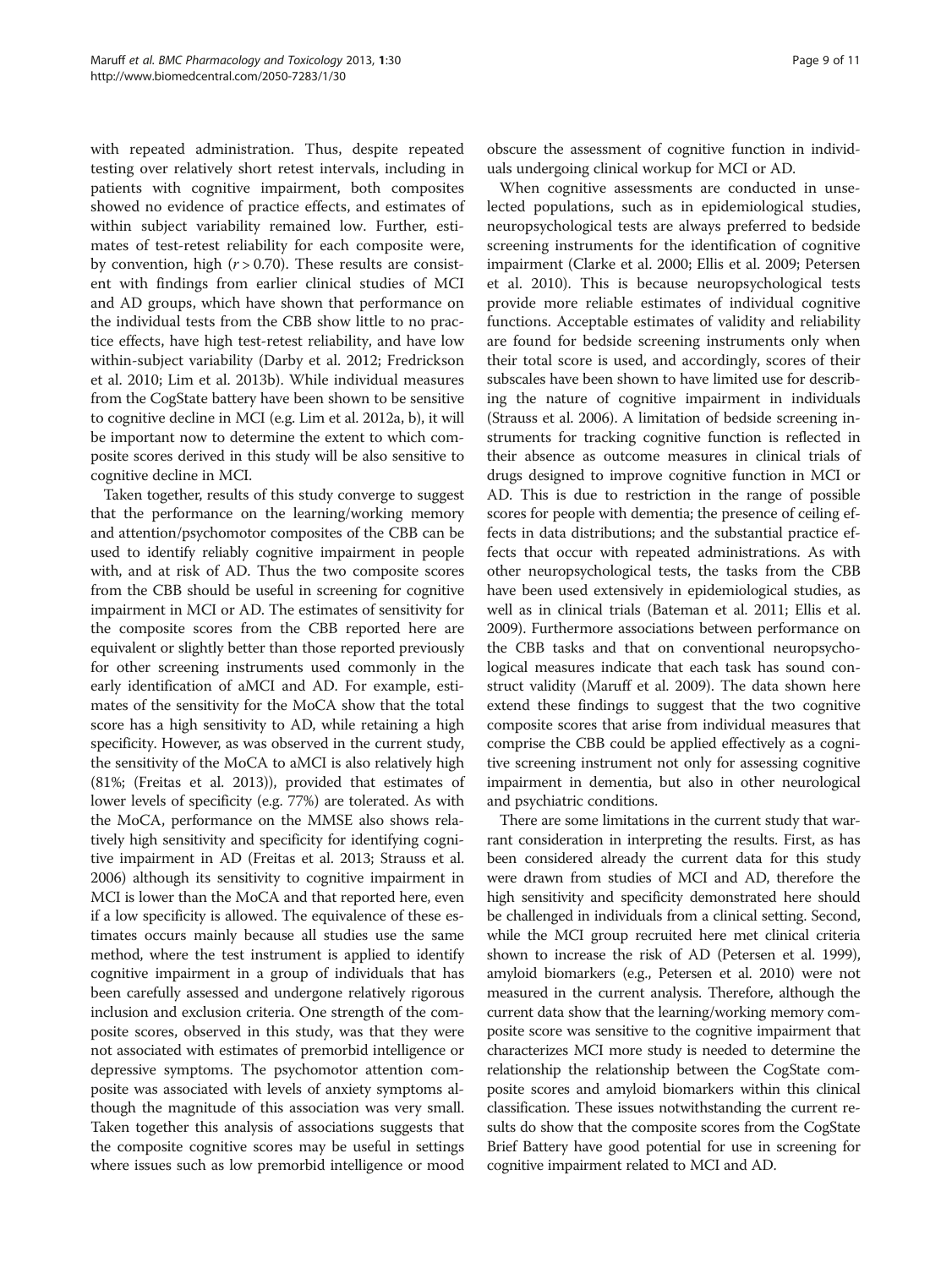with repeated administration. Thus, despite repeated testing over relatively short retest intervals, including in patients with cognitive impairment, both composites showed no evidence of practice effects, and estimates of within subject variability remained low. Further, estimates of test-retest reliability for each composite were, by convention, high  $(r > 0.70)$ . These results are consistent with findings from earlier clinical studies of MCI and AD groups, which have shown that performance on the individual tests from the CBB show little to no practice effects, have high test-retest reliability, and have low within-subject variability (Darby et al. [2012;](#page-9-0) Fredrickson et al. [2010](#page-9-0); [Lim et al. 2013b](#page-9-0)). While individual measures from the CogState battery have been shown to be sensitive to cognitive decline in MCI (e.g. Lim et al. [2012a, b\)](#page-9-0), it will be important now to determine the extent to which composite scores derived in this study will be also sensitive to cognitive decline in MCI.

Taken together, results of this study converge to suggest that the performance on the learning/working memory and attention/psychomotor composites of the CBB can be used to identify reliably cognitive impairment in people with, and at risk of AD. Thus the two composite scores from the CBB should be useful in screening for cognitive impairment in MCI or AD. The estimates of sensitivity for the composite scores from the CBB reported here are equivalent or slightly better than those reported previously for other screening instruments used commonly in the early identification of aMCI and AD. For example, estimates of the sensitivity for the MoCA show that the total score has a high sensitivity to AD, while retaining a high specificity. However, as was observed in the current study, the sensitivity of the MoCA to aMCI is also relatively high (81%; (Freitas et al. [2013\)](#page-9-0)), provided that estimates of lower levels of specificity (e.g. 77%) are tolerated. As with the MoCA, performance on the MMSE also shows relatively high sensitivity and specificity for identifying cognitive impairment in AD (Freitas et al. [2013;](#page-9-0) Strauss et al. [2006\)](#page-10-0) although its sensitivity to cognitive impairment in MCI is lower than the MoCA and that reported here, even if a low specificity is allowed. The equivalence of these estimates occurs mainly because all studies use the same method, where the test instrument is applied to identify cognitive impairment in a group of individuals that has been carefully assessed and undergone relatively rigorous inclusion and exclusion criteria. One strength of the composite scores, observed in this study, was that they were not associated with estimates of premorbid intelligence or depressive symptoms. The psychomotor attention composite was associated with levels of anxiety symptoms although the magnitude of this association was very small. Taken together this analysis of associations suggests that the composite cognitive scores may be useful in settings where issues such as low premorbid intelligence or mood obscure the assessment of cognitive function in individuals undergoing clinical workup for MCI or AD.

When cognitive assessments are conducted in unselected populations, such as in epidemiological studies, neuropsychological tests are always preferred to bedside screening instruments for the identification of cognitive impairment (Clarke et al. [2000;](#page-9-0) Ellis et al. [2009;](#page-9-0) Petersen et al. [2010](#page-10-0)). This is because neuropsychological tests provide more reliable estimates of individual cognitive functions. Acceptable estimates of validity and reliability are found for bedside screening instruments only when their total score is used, and accordingly, scores of their subscales have been shown to have limited use for describing the nature of cognitive impairment in individuals (Strauss et al. [2006](#page-10-0)). A limitation of bedside screening instruments for tracking cognitive function is reflected in their absence as outcome measures in clinical trials of drugs designed to improve cognitive function in MCI or AD. This is due to restriction in the range of possible scores for people with dementia; the presence of ceiling effects in data distributions; and the substantial practice effects that occur with repeated administrations. As with other neuropsychological tests, the tasks from the CBB have been used extensively in epidemiological studies, as well as in clinical trials (Bateman et al. [2011](#page-9-0); Ellis et al. [2009\)](#page-9-0). Furthermore associations between performance on the CBB tasks and that on conventional neuropsychological measures indicate that each task has sound construct validity (Maruff et al. [2009\)](#page-10-0). The data shown here extend these findings to suggest that the two cognitive composite scores that arise from individual measures that comprise the CBB could be applied effectively as a cognitive screening instrument not only for assessing cognitive impairment in dementia, but also in other neurological and psychiatric conditions.

There are some limitations in the current study that warrant consideration in interpreting the results. First, as has been considered already the current data for this study were drawn from studies of MCI and AD, therefore the high sensitivity and specificity demonstrated here should be challenged in individuals from a clinical setting. Second, while the MCI group recruited here met clinical criteria shown to increase the risk of AD (Petersen et al. [1999](#page-10-0)), amyloid biomarkers (e.g., Petersen et al. [2010](#page-10-0)) were not measured in the current analysis. Therefore, although the current data show that the learning/working memory composite score was sensitive to the cognitive impairment that characterizes MCI more study is needed to determine the relationship the relationship between the CogState composite scores and amyloid biomarkers within this clinical classification. These issues notwithstanding the current results do show that the composite scores from the CogState Brief Battery have good potential for use in screening for cognitive impairment related to MCI and AD.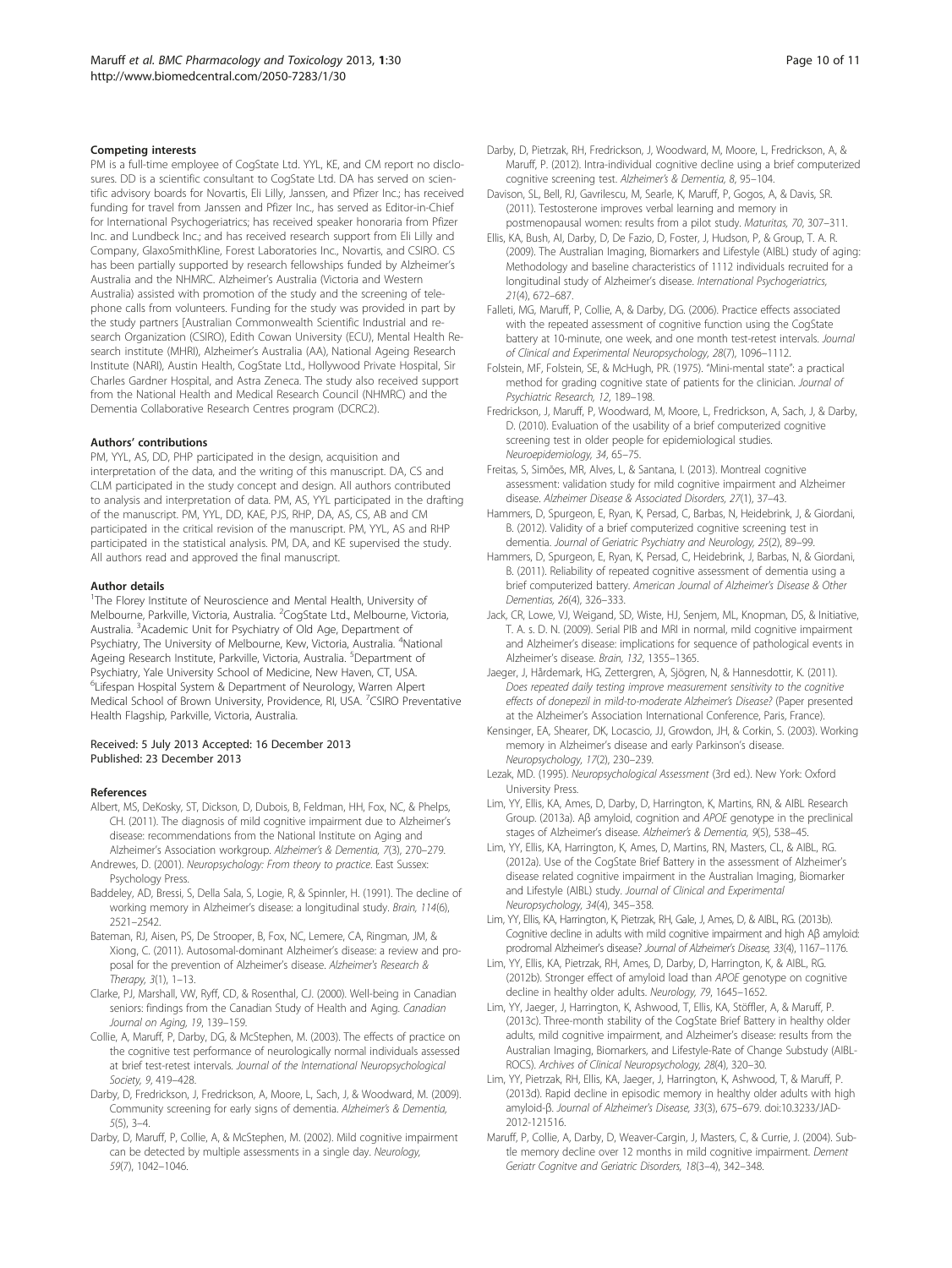#### <span id="page-9-0"></span>Competing interests

PM is a full-time employee of CogState Ltd. YYL, KE, and CM report no disclosures. DD is a scientific consultant to CogState Ltd. DA has served on scientific advisory boards for Novartis, Eli Lilly, Janssen, and Pfizer Inc.; has received funding for travel from Janssen and Pfizer Inc., has served as Editor-in-Chief for International Psychogeriatrics; has received speaker honoraria from Pfizer Inc. and Lundbeck Inc.; and has received research support from Eli Lilly and Company, GlaxoSmithKline, Forest Laboratories Inc., Novartis, and CSIRO. CS has been partially supported by research fellowships funded by Alzheimer's Australia and the NHMRC. Alzheimer's Australia (Victoria and Western Australia) assisted with promotion of the study and the screening of telephone calls from volunteers. Funding for the study was provided in part by the study partners [Australian Commonwealth Scientific Industrial and research Organization (CSIRO), Edith Cowan University (ECU), Mental Health Research institute (MHRI), Alzheimer's Australia (AA), National Ageing Research Institute (NARI), Austin Health, CogState Ltd., Hollywood Private Hospital, Sir Charles Gardner Hospital, and Astra Zeneca. The study also received support from the National Health and Medical Research Council (NHMRC) and the Dementia Collaborative Research Centres program (DCRC2).

#### Authors' contributions

PM, YYL, AS, DD, PHP participated in the design, acquisition and interpretation of the data, and the writing of this manuscript. DA, CS and CLM participated in the study concept and design. All authors contributed to analysis and interpretation of data. PM, AS, YYL participated in the drafting of the manuscript. PM, YYL, DD, KAE, PJS, RHP, DA, AS, CS, AB and CM participated in the critical revision of the manuscript. PM, YYL, AS and RHP participated in the statistical analysis. PM, DA, and KE supervised the study. All authors read and approved the final manuscript.

#### Author details

<sup>1</sup>The Florey Institute of Neuroscience and Mental Health, University of Melbourne, Parkville, Victoria, Australia. <sup>2</sup>CogState Ltd., Melbourne, Victoria, Australia. <sup>3</sup>Academic Unit for Psychiatry of Old Age, Department of Psychiatry, The University of Melbourne, Kew, Victoria, Australia. <sup>4</sup>National Ageing Research Institute, Parkville, Victoria, Australia. <sup>5</sup>Department of Psychiatry, Yale University School of Medicine, New Haven, CT, USA. 6 Lifespan Hospital System & Department of Neurology, Warren Alpert Medical School of Brown University, Providence, RI, USA. <sup>7</sup>CSIRO Preventative Health Flagship, Parkville, Victoria, Australia.

#### Received: 5 July 2013 Accepted: 16 December 2013 Published: 23 December 2013

#### References

- Albert, MS, DeKosky, ST, Dickson, D, Dubois, B, Feldman, HH, Fox, NC, & Phelps, CH. (2011). The diagnosis of mild cognitive impairment due to Alzheimer's disease: recommendations from the National Institute on Aging and Alzheimer's Association workgroup. Alzheimer's & Dementia, 7(3), 270–279.
- Andrewes, D. (2001). Neuropsychology: From theory to practice. East Sussex: Psychology Press.
- Baddeley, AD, Bressi, S, Della Sala, S, Logie, R, & Spinnler, H. (1991). The decline of working memory in Alzheimer's disease: a longitudinal study. Brain, 114(6), 2521–2542.
- Bateman, RJ, Aisen, PS, De Strooper, B, Fox, NC, Lemere, CA, Ringman, JM, & Xiong, C. (2011). Autosomal-dominant Alzheimer's disease: a review and proposal for the prevention of Alzheimer's disease. Alzheimer's Research & Therapy, 3(1), 1–13.
- Clarke, PJ, Marshall, VW, Ryff, CD, & Rosenthal, CJ. (2000). Well-being in Canadian seniors: findings from the Canadian Study of Health and Aging. Canadian Journal on Aging, 19, 139–159.
- Collie, A, Maruff, P, Darby, DG, & McStephen, M. (2003). The effects of practice on the cognitive test performance of neurologically normal individuals assessed at brief test-retest intervals. Journal of the International Neuropsychological Society, 9, 419–428.
- Darby, D, Fredrickson, J, Fredrickson, A, Moore, L, Sach, J, & Woodward, M. (2009). Community screening for early signs of dementia. Alzheimer's & Dementia, 5(5), 3–4.
- Darby, D, Maruff, P, Collie, A, & McStephen, M. (2002). Mild cognitive impairment can be detected by multiple assessments in a single day. Neurology, 59(7), 1042–1046.
- Darby, D, Pietrzak, RH, Fredrickson, J, Woodward, M, Moore, L, Fredrickson, A, & Maruff, P. (2012). Intra-individual cognitive decline using a brief computerized cognitive screening test. Alzheimer's & Dementia, 8, 95–104.
- Davison, SL, Bell, RJ, Gavrilescu, M, Searle, K, Maruff, P, Gogos, A, & Davis, SR. (2011). Testosterone improves verbal learning and memory in postmenopausal women: results from a pilot study. Maturitas, 70, 307–311.
- Ellis, KA, Bush, AI, Darby, D, De Fazio, D, Foster, J, Hudson, P, & Group, T. A. R. (2009). The Australian Imaging, Biomarkers and Lifestyle (AIBL) study of aging: Methodology and baseline characteristics of 1112 individuals recruited for a longitudinal study of Alzheimer's disease. International Psychogeriatrics, 21(4), 672–687.
- Falleti, MG, Maruff, P, Collie, A, & Darby, DG. (2006). Practice effects associated with the repeated assessment of cognitive function using the CogState battery at 10-minute, one week, and one month test-retest intervals. Journal of Clinical and Experimental Neuropsychology, 28(7), 1096–1112.
- Folstein, MF, Folstein, SE, & McHugh, PR. (1975). "Mini-mental state": a practical method for grading cognitive state of patients for the clinician. Journal of Psychiatric Research, 12, 189–198.
- Fredrickson, J, Maruff, P, Woodward, M, Moore, L, Fredrickson, A, Sach, J, & Darby, D. (2010). Evaluation of the usability of a brief computerized cognitive screening test in older people for epidemiological studies. Neuroepidemiology, 34, 65–75.
- Freitas, S, Simões, MR, Alves, L, & Santana, I. (2013). Montreal cognitive assessment: validation study for mild cognitive impairment and Alzheimer disease. Alzheimer Disease & Associated Disorders, 27(1), 37–43.
- Hammers, D, Spurgeon, E, Ryan, K, Persad, C, Barbas, N, Heidebrink, J, & Giordani, B. (2012). Validity of a brief computerized cognitive screening test in dementia. Journal of Geriatric Psychiatry and Neurology, 25(2), 89–99.
- Hammers, D, Spurgeon, E, Ryan, K, Persad, C, Heidebrink, J, Barbas, N, & Giordani, B. (2011). Reliability of repeated cognitive assessment of dementia using a brief computerized battery. American Journal of Alzheimer's Disease & Other Dementias, 26(4), 326–333.
- Jack, CR, Lowe, VJ, Weigand, SD, Wiste, HJ, Senjem, ML, Knopman, DS, & Initiative, T. A. s. D. N. (2009). Serial PIB and MRI in normal, mild cognitive impairment and Alzheimer's disease: implications for sequence of pathological events in Alzheimer's disease. Brain, 132, 1355–1365.
- Jaeger, J, Hårdemark, HG, Zettergren, A, Sjögren, N, & Hannesdottir, K. (2011). Does repeated daily testing improve measurement sensitivity to the cognitive effects of donepezil in mild-to-moderate Alzheimer's Disease? (Paper presented at the Alzheimer's Association International Conference, Paris, France).
- Kensinger, EA, Shearer, DK, Locascio, JJ, Growdon, JH, & Corkin, S. (2003). Working memory in Alzheimer's disease and early Parkinson's disease. Neuropsychology, 17(2), 230–239.
- Lezak, MD. (1995). Neuropsychological Assessment (3rd ed.). New York: Oxford University Press.
- Lim, YY, Ellis, KA, Ames, D, Darby, D, Harrington, K, Martins, RN, & AIBL Research Group. (2013a). Aβ amyloid, cognition and APOE genotype in the preclinical stages of Alzheimer's disease. Alzheimer's & Dementia, 9(5), 538–45.
- Lim, YY, Ellis, KA, Harrington, K, Ames, D, Martins, RN, Masters, CL, & AIBL, RG. (2012a). Use of the CogState Brief Battery in the assessment of Alzheimer's disease related cognitive impairment in the Australian Imaging, Biomarker and Lifestyle (AIBL) study. Journal of Clinical and Experimental Neuropsychology, 34(4), 345–358.
- Lim, YY, Ellis, KA, Harrington, K, Pietrzak, RH, Gale, J, Ames, D, & AIBL, RG. (2013b). Cognitive decline in adults with mild cognitive impairment and high Aβ amyloid: prodromal Alzheimer's disease? Journal of Alzheimer's Disease, 33(4), 1167–1176.
- Lim, YY, Ellis, KA, Pietrzak, RH, Ames, D, Darby, D, Harrington, K, & AIBL, RG. (2012b). Stronger effect of amyloid load than APOE genotype on cognitive decline in healthy older adults. Neurology, 79, 1645–1652.
- Lim, YY, Jaeger, J, Harrington, K, Ashwood, T, Ellis, KA, Stöffler, A, & Maruff, P. (2013c). Three-month stability of the CogState Brief Battery in healthy older adults, mild cognitive impairment, and Alzheimer's disease: results from the Australian Imaging, Biomarkers, and Lifestyle-Rate of Change Substudy (AIBL-ROCS). Archives of Clinical Neuropsychology, 28(4), 320–30.
- Lim, YY, Pietrzak, RH, Ellis, KA, Jaeger, J, Harrington, K, Ashwood, T, & Maruff, P. (2013d). Rapid decline in episodic memory in healthy older adults with high amyloid-β. Journal of Alzheimer's Disease, 33(3), 675–679. doi:10.3233/JAD-2012-121516.
- Maruff, P, Collie, A, Darby, D, Weaver-Cargin, J, Masters, C, & Currie, J. (2004). Subtle memory decline over 12 months in mild cognitive impairment. Dement Geriatr Cognitve and Geriatric Disorders, 18(3–4), 342–348.